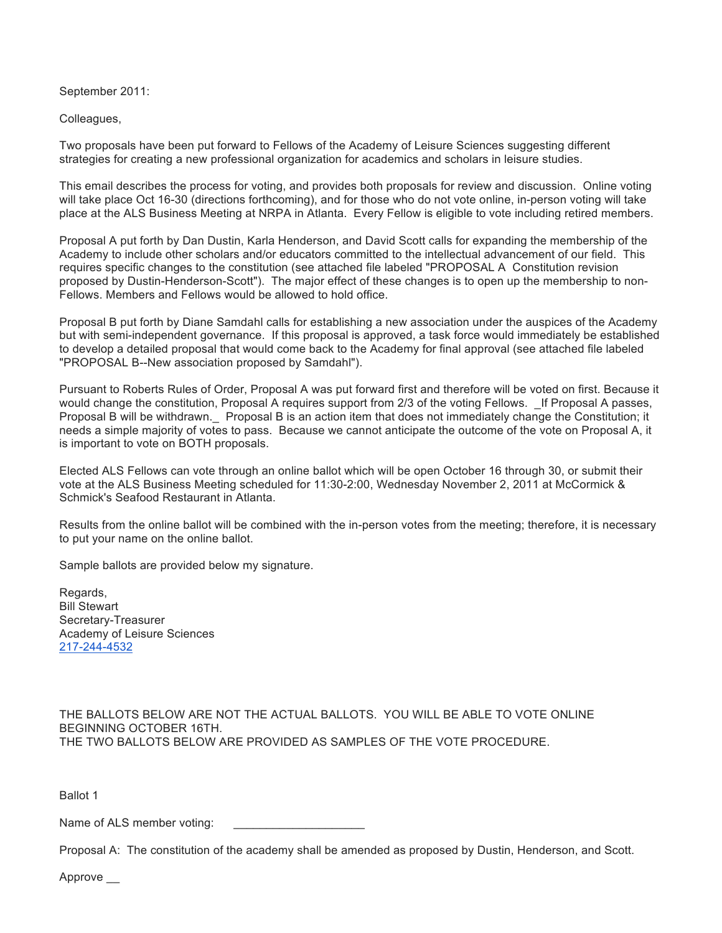September 2011:

Colleagues,

Two proposals have been put forward to Fellows of the Academy of Leisure Sciences suggesting different strategies for creating a new professional organization for academics and scholars in leisure studies.

This email describes the process for voting, and provides both proposals for review and discussion. Online voting will take place Oct 16-30 (directions forthcoming), and for those who do not vote online, in-person voting will take place at the ALS Business Meeting at NRPA in Atlanta. Every Fellow is eligible to vote including retired members.

Proposal A put forth by Dan Dustin, Karla Henderson, and David Scott calls for expanding the membership of the Academy to include other scholars and/or educators committed to the intellectual advancement of our field. This requires specific changes to the constitution (see attached file labeled "PROPOSAL A Constitution revision proposed by Dustin-Henderson-Scott"). The major effect of these changes is to open up the membership to non-Fellows. Members and Fellows would be allowed to hold office.

Proposal B put forth by Diane Samdahl calls for establishing a new association under the auspices of the Academy but with semi-independent governance. If this proposal is approved, a task force would immediately be established to develop a detailed proposal that would come back to the Academy for final approval (see attached file labeled "PROPOSAL B--New association proposed by Samdahl").

Pursuant to Roberts Rules of Order, Proposal A was put forward first and therefore will be voted on first. Because it would change the constitution, Proposal A requires support from 2/3 of the voting Fellows. If Proposal A passes, Proposal B will be withdrawn.\_ Proposal B is an action item that does not immediately change the Constitution; it needs a simple majority of votes to pass. Because we cannot anticipate the outcome of the vote on Proposal A, it is important to vote on BOTH proposals.

Elected ALS Fellows can vote through an online ballot which will be open October 16 through 30, or submit their vote at the ALS Business Meeting scheduled for 11:30-2:00, Wednesday November 2, 2011 at McCormick & Schmick's Seafood Restaurant in Atlanta.

Results from the online ballot will be combined with the in-person votes from the meeting; therefore, it is necessary to put your name on the online ballot.

Sample ballots are provided below my signature.

Regards, Bill Stewart Secretary-Treasurer Academy of Leisure Sciences 217-244-4532

THE BALLOTS BELOW ARE NOT THE ACTUAL BALLOTS. YOU WILL BE ABLE TO VOTE ONLINE BEGINNING OCTOBER 16TH. THE TWO BALLOTS BELOW ARE PROVIDED AS SAMPLES OF THE VOTE PROCEDURE.

Ballot 1

Name of ALS member voting:

Proposal A: The constitution of the academy shall be amended as proposed by Dustin, Henderson, and Scott.

Approve \_\_